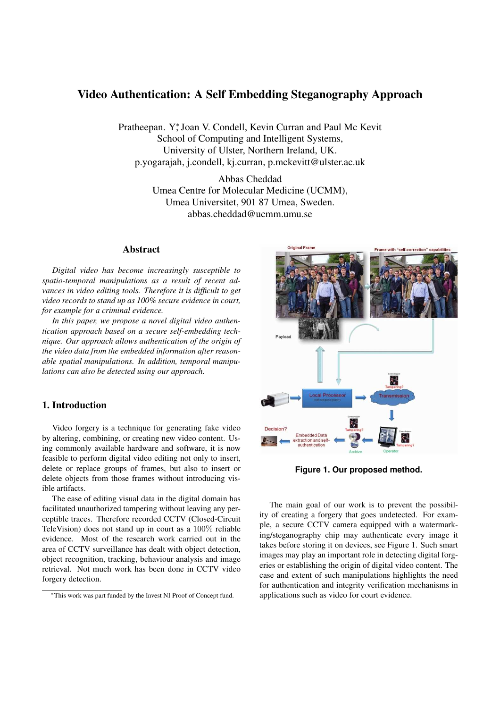# Video Authentication: A Self Embedding Steganography Approach

Pratheepan. Y<sup>\*</sup>, Joan V. Condell, Kevin Curran and Paul Mc Kevit School of Computing and Intelligent Systems, University of Ulster, Northern Ireland, UK. p.yogarajah, j.condell, kj.curran, p.mckevitt@ulster.ac.uk

> Abbas Cheddad Umea Centre for Molecular Medicine (UCMM), Umea Universitet, 901 87 Umea, Sweden. abbas.cheddad@ucmm.umu.se

### Abstract

*Digital video has become increasingly susceptible to spatio-temporal manipulations as a result of recent advances in video editing tools. Therefore it is difficult to get video records to stand up as 100% secure evidence in court, for example for a criminal evidence.*

*In this paper, we propose a novel digital video authentication approach based on a secure self-embedding technique. Our approach allows authentication of the origin of the video data from the embedded information after reasonable spatial manipulations. In addition, temporal manipulations can also be detected using our approach.*

#### 1. Introduction

Video forgery is a technique for generating fake video by altering, combining, or creating new video content. Using commonly available hardware and software, it is now feasible to perform digital video editing not only to insert, delete or replace groups of frames, but also to insert or delete objects from those frames without introducing visible artifacts.

The ease of editing visual data in the digital domain has facilitated unauthorized tampering without leaving any perceptible traces. Therefore recorded CCTV (Closed-Circuit TeleVision) does not stand up in court as a 100% reliable evidence. Most of the research work carried out in the area of CCTV surveillance has dealt with object detection, object recognition, tracking, behaviour analysis and image retrieval. Not much work has been done in CCTV video forgery detection.



**Figure 1. Our proposed method.**

The main goal of our work is to prevent the possibility of creating a forgery that goes undetected. For example, a secure CCTV camera equipped with a watermarking/steganography chip may authenticate every image it takes before storing it on devices, see Figure 1. Such smart images may play an important role in detecting digital forgeries or establishing the origin of digital video content. The case and extent of such manipulations highlights the need for authentication and integrity verification mechanisms in applications such as video for court evidence.

<sup>∗</sup>This work was part funded by the Invest NI Proof of Concept fund.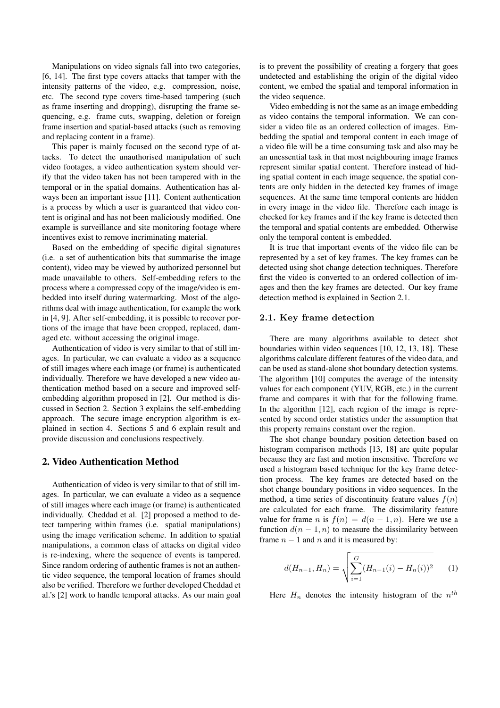Manipulations on video signals fall into two categories, [6, 14]. The first type covers attacks that tamper with the intensity patterns of the video, e.g. compression, noise, etc. The second type covers time-based tampering (such as frame inserting and dropping), disrupting the frame sequencing, e.g. frame cuts, swapping, deletion or foreign frame insertion and spatial-based attacks (such as removing and replacing content in a frame).

This paper is mainly focused on the second type of attacks. To detect the unauthorised manipulation of such video footages, a video authentication system should verify that the video taken has not been tampered with in the temporal or in the spatial domains. Authentication has always been an important issue [11]. Content authentication is a process by which a user is guaranteed that video content is original and has not been maliciously modified. One example is surveillance and site monitoring footage where incentives exist to remove incriminating material.

Based on the embedding of specific digital signatures (i.e. a set of authentication bits that summarise the image content), video may be viewed by authorized personnel but made unavailable to others. Self-embedding refers to the process where a compressed copy of the image/video is embedded into itself during watermarking. Most of the algorithms deal with image authentication, for example the work in [4, 9]. After self-embedding, it is possible to recover portions of the image that have been cropped, replaced, damaged etc. without accessing the original image.

Authentication of video is very similar to that of still images. In particular, we can evaluate a video as a sequence of still images where each image (or frame) is authenticated individually. Therefore we have developed a new video authentication method based on a secure and improved selfembedding algorithm proposed in [2]. Our method is discussed in Section 2. Section 3 explains the self-embedding approach. The secure image encryption algorithm is explained in section 4. Sections 5 and 6 explain result and provide discussion and conclusions respectively.

### 2. Video Authentication Method

Authentication of video is very similar to that of still images. In particular, we can evaluate a video as a sequence of still images where each image (or frame) is authenticated individually. Cheddad et al. [2] proposed a method to detect tampering within frames (i.e. spatial manipulations) using the image verification scheme. In addition to spatial manipulations, a common class of attacks on digital video is re-indexing, where the sequence of events is tampered. Since random ordering of authentic frames is not an authentic video sequence, the temporal location of frames should also be verified. Therefore we further developed Cheddad et al.'s [2] work to handle temporal attacks. As our main goal is to prevent the possibility of creating a forgery that goes undetected and establishing the origin of the digital video content, we embed the spatial and temporal information in the video sequence.

Video embedding is not the same as an image embedding as video contains the temporal information. We can consider a video file as an ordered collection of images. Embedding the spatial and temporal content in each image of a video file will be a time consuming task and also may be an unessential task in that most neighbouring image frames represent similar spatial content. Therefore instead of hiding spatial content in each image sequence, the spatial contents are only hidden in the detected key frames of image sequences. At the same time temporal contents are hidden in every image in the video file. Therefore each image is checked for key frames and if the key frame is detected then the temporal and spatial contents are embedded. Otherwise only the temporal content is embedded.

It is true that important events of the video file can be represented by a set of key frames. The key frames can be detected using shot change detection techniques. Therefore first the video is converted to an ordered collection of images and then the key frames are detected. Our key frame detection method is explained in Section 2.1.

#### 2.1. Key frame detection

There are many algorithms available to detect shot boundaries within video sequences [10, 12, 13, 18]. These algorithms calculate different features of the video data, and can be used as stand-alone shot boundary detection systems. The algorithm [10] computes the average of the intensity values for each component (YUV, RGB, etc.) in the current frame and compares it with that for the following frame. In the algorithm [12], each region of the image is represented by second order statistics under the assumption that this property remains constant over the region.

The shot change boundary position detection based on histogram comparison methods [13, 18] are quite popular because they are fast and motion insensitive. Therefore we used a histogram based technique for the key frame detection process. The key frames are detected based on the shot change boundary positions in video sequences. In the method, a time series of discontinuity feature values  $f(n)$ are calculated for each frame. The dissimilarity feature value for frame n is  $f(n) = d(n-1, n)$ . Here we use a function  $d(n-1, n)$  to measure the dissimilarity between frame  $n - 1$  and n and it is measured by:

$$
d(H_{n-1}, H_n) = \sqrt{\sum_{i=1}^{G} (H_{n-1}(i) - H_n(i))^2}
$$
 (1)

Here  $H_n$  denotes the intensity histogram of the  $n^{th}$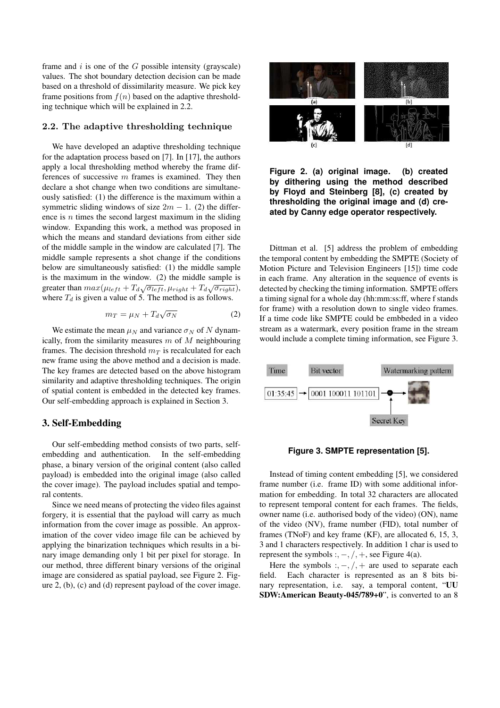frame and  $i$  is one of the  $G$  possible intensity (grayscale) values. The shot boundary detection decision can be made based on a threshold of dissimilarity measure. We pick key frame positions from  $f(n)$  based on the adaptive thresholding technique which will be explained in 2.2.

#### 2.2. The adaptive thresholding technique

We have developed an adaptive thresholding technique for the adaptation process based on [7]. In [17], the authors apply a local thresholding method whereby the frame differences of successive  $m$  frames is examined. They then declare a shot change when two conditions are simultaneously satisfied: (1) the difference is the maximum within a symmetric sliding windows of size  $2m - 1$ . (2) the difference is  $n$  times the second largest maximum in the sliding window. Expanding this work, a method was proposed in which the means and standard deviations from either side of the middle sample in the window are calculated [7]. The middle sample represents a shot change if the conditions below are simultaneously satisfied: (1) the middle sample is the maximum in the window. (2) the middle sample is greater than  $max(\mu_{left} + T_d\sqrt{\sigma_{left}}, \mu_{right} + T_d\sqrt{\sigma_{right}})$ , where  $T_d$  is given a value of 5. The method is as follows.

$$
m_T = \mu_N + T_d \sqrt{\sigma_N} \tag{2}
$$

We estimate the mean  $\mu_N$  and variance  $\sigma_N$  of N dynamically, from the similarity measures  $m$  of  $M$  neighbouring frames. The decision threshold  $m<sub>T</sub>$  is recalculated for each new frame using the above method and a decision is made. The key frames are detected based on the above histogram similarity and adaptive thresholding techniques. The origin of spatial content is embedded in the detected key frames. Our self-embedding approach is explained in Section 3.

#### 3. Self-Embedding

Our self-embedding method consists of two parts, selfembedding and authentication. In the self-embedding phase, a binary version of the original content (also called payload) is embedded into the original image (also called the cover image). The payload includes spatial and temporal contents.

Since we need means of protecting the video files against forgery, it is essential that the payload will carry as much information from the cover image as possible. An approximation of the cover video image file can be achieved by applying the binarization techniques which results in a binary image demanding only 1 bit per pixel for storage. In our method, three different binary versions of the original image are considered as spatial payload, see Figure 2. Figure 2, (b), (c) and (d) represent payload of the cover image.



**Figure 2. (a) original image. (b) created by dithering using the method described by Floyd and Steinberg [8], (c) created by thresholding the original image and (d) created by Canny edge operator respectively.**

Dittman et al. [5] address the problem of embedding the temporal content by embedding the SMPTE (Society of Motion Picture and Television Engineers [15]) time code in each frame. Any alteration in the sequence of events is detected by checking the timing information. SMPTE offers a timing signal for a whole day (hh:mm:ss:ff, where f stands for frame) with a resolution down to single video frames. If a time code like SMPTE could be embbeded in a video stream as a watermark, every position frame in the stream would include a complete timing information, see Figure 3.



**Figure 3. SMPTE representation [5].**

Instead of timing content embedding [5], we considered frame number (i.e. frame ID) with some additional information for embedding. In total 32 characters are allocated to represent temporal content for each frames. The fields, owner name (i.e. authorised body of the video) (ON), name of the video (NV), frame number (FID), total number of frames (TNoF) and key frame (KF), are allocated 6, 15, 3, 3 and 1 characters respectively. In addition 1 char is used to represent the symbols :,  $-$ ,  $/$ ,  $+$ , see Figure 4(a).

Here the symbols :,  $-$ ,  $/$ ,  $+$  are used to separate each field. Each character is represented as an 8 bits binary representation, i.e. say, a temporal content, "UU SDW:American Beauty-045/789+0", is converted to an 8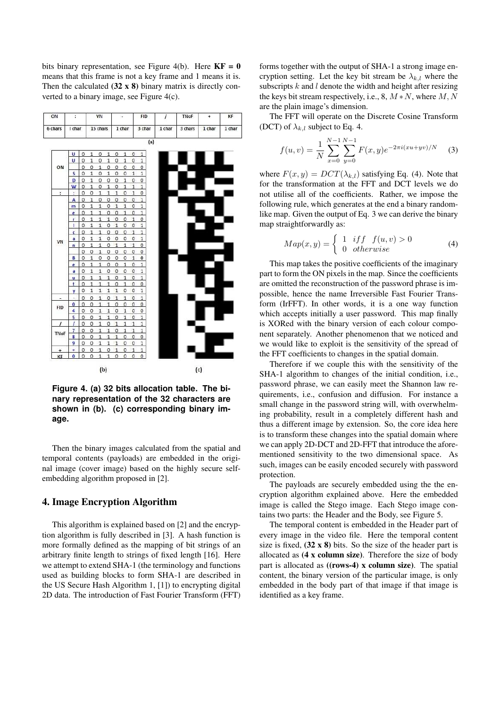bits binary representation, see Figure 4(b). Here  $KF = 0$ means that this frame is not a key frame and 1 means it is. Then the calculated  $(32 \times 8)$  binary matrix is directly converted to a binary image, see Figure 4(c).

| ON                       | t<br>I char           |              | VN             |                |                | ٠              |                |                | <b>FID</b>   | 1      | <b>TNoF</b> | ÷      | ΚF     |
|--------------------------|-----------------------|--------------|----------------|----------------|----------------|----------------|----------------|----------------|--------------|--------|-------------|--------|--------|
| 6 chars                  |                       |              | 15 chars       |                |                | 1 char         |                |                | 3 char       | 1 char | 3 chars     | 1 char | 1 char |
|                          |                       |              |                |                |                |                |                |                | (a)          |        |             |        |        |
|                          | u                     | 0            | 1              | 0              | $\mathbf{1}$   | $\circ$        | $\mathbf{1}$   | 0              | $\mathbf{1}$ |        |             |        |        |
| ON                       | U                     | 0            | 1              | 0              | 1              | 0              | 1              | 0              | $\mathbf{1}$ |        |             |        |        |
|                          |                       | 0            | 0              | 1              | 0              | 0              | 0              | 0              | 0            |        |             |        |        |
|                          | s                     | 0            | $\mathbf{1}$   | 0              | $\mathbf{1}$   | 0              | O              | $\,1$          | $\mathbf{1}$ |        |             |        |        |
|                          | D                     | 0            | $\overline{1}$ | 0              | O              | $\circ$        | $\overline{1}$ | 0              | O            |        |             |        |        |
|                          | W                     | $\circ$      | $\mathbf{1}$   | 0              | $\overline{1}$ | 0              | $\mathbf{1}$   | $\mathbf{1}$   | $\mathbf 1$  |        |             |        |        |
| ÷.                       | Ŧ.                    | $\circ$      | $\circ$        | $\mathbf{1}$   | 1              | $\mathbf{1}$   | O              | $1\,$          | $\mathbf 0$  |        |             |        |        |
|                          | A                     | 0            | $\mathbf{1}$   | 0              | O              | 0              | O              | 0              | $\mathbf{1}$ |        |             |        |        |
|                          | m                     | 0            | $\mathbf{1}$   | 1              | 0              | $\mathbf{1}$   | $\mathbf{1}$   | 0              | 1            |        |             |        |        |
|                          | e                     | 0            | 1              | 1              | 0              | 0              | 1              | 0              | $\mathbf 1$  |        |             |        |        |
|                          | r                     | 0            | $\mathbf{1}$   | 1              | $\mathbf{1}$   | 0              | 0              | 1              | O            |        |             |        |        |
|                          | ١                     | 0            | $\mathbf{1}$   | $\mathbf{1}$   | 0              | $\mathbf{1}$   | O              | 0              | $\mathbf{1}$ |        |             |        |        |
|                          | c                     | 0            | $\mathbf{1}$   | $\mathbf{1}$   | 0              | $\Omega$       | $\circ$        | $\mathbf{1}$   | $\mathbf 1$  |        |             |        |        |
|                          | a                     | 0            | $\mathbf{1}$   | $\mathbf{1}$   | $\circ$        | 0              | O              | 0              | $1\,$        |        |             |        |        |
| VN                       | n                     | 0            | 1              | 1              | 0              | $\mathbf{1}$   | $\mathbf{1}$   | $\mathbf{1}$   | 0            |        |             |        |        |
|                          |                       | 0            | 0              | $\mathbf{1}$   | 0              | 0              | 0              | 0              | 0            |        |             |        |        |
|                          | в                     | 0            | $\mathbf{1}$   | 0              | 0              | 0              | O              | 1              | $\bf{0}$     |        |             |        |        |
|                          | e                     | 0            | $\mathbf{1}$   | 1              | 0              | $\circ$        | $\mathbf{1}$   | 0              | $\mathbf{1}$ |        |             |        |        |
|                          | a                     | $\circ$      | 1              | $\overline{1}$ | $\circ$        | $\circ$        | o              | 0              | $\mathbf 1$  |        |             |        |        |
|                          | u                     | $\circ$      | $\mathbf{1}$   | $\mathbf{1}$   | $\mathbf{1}$   | $\circ$        | $\mathbf{1}$   | $\circ$        | $\mathbf{1}$ |        |             |        |        |
|                          | ŧ                     | 0            | $\mathbf{1}$   | $\mathbf{1}$   | $\mathbf{1}$   | 0              | $\mathbf{1}$   | 0              | $\circ$      |        |             |        |        |
|                          | y                     | 0            | $\,$ 1         | $\mathbf{1}$   | $\mathbf{1}$   | $\mathbf{1}$   | 0              | 0              | $\mathbf 1$  |        |             |        |        |
| $\overline{\phantom{a}}$ | $\tilde{\phantom{a}}$ | $\mathbf{0}$ | $\circ$        | $\mathbf{1}$   | $\circ$        | $\mathbf{1}$   | $\mathbf{1}$   | $\overline{0}$ | $\mathbf{1}$ |        |             |        |        |
| <b>FID</b>               | 0                     | 0            | 0              | 1              | $\mathbf{1}$   | 0              | O              | 0              | O            |        |             |        |        |
|                          | 4                     | 0            | 0              | $\mathbf{1}$   | $\mathbf{1}$   | 0              | $\mathbf{1}$   | 0              | 0            |        |             |        |        |
|                          | 5                     | 0            | 0              | 1              | $\mathbf{1}$   | O              | $\mathbf{1}$   | $\mathbf{0}$   | $\mathbf 1$  |        |             |        |        |
| I                        | 1                     | o            | 0              | $\mathbf{1}$   | 0              | $\mathbf{1}$   | $\mathbf{1}$   | $\mathbf{1}$   | $\mathbf{1}$ |        |             |        |        |
|                          | 7                     | $\circ$      | $\circ$        | $\mathbf{1}$   | $\mathbf{1}$   | $\circ$        | $\mathbf{1}$   | $\mathbf{1}$   | $\mathbf{1}$ |        |             |        |        |
| <b>TNoF</b>              | 8                     | $\circ$      | $\circ$        | $\mathbf{1}$   | $\mathbf{1}$   | $\overline{1}$ | $\circ$        | 0              | $\circ$      |        |             |        |        |
|                          | 9                     | 0            | 0              | $\mathbf{1}$   | $\mathbf 1$    | $\mathbf{1}$   | 0              | 0              | $\mathbf{1}$ |        |             |        |        |
| ÷                        | ÷                     | 0            | 0              | 1              | 0              | $\mathbf{1}$   | 0              | $\mathbf{1}$   | $\mathbf{1}$ |        |             |        |        |
| KF                       | 0                     | 0            | 0              | 1              | 1              | 0              | 0              | 0              | 0            |        |             |        |        |

**Figure 4. (a) 32 bits allocation table. The binary representation of the 32 characters are shown in (b). (c) corresponding binary image.**

Then the binary images calculated from the spatial and temporal contents (payloads) are embedded in the original image (cover image) based on the highly secure selfembedding algorithm proposed in [2].

### 4. Image Encryption Algorithm

This algorithm is explained based on [2] and the encryption algorithm is fully described in [3]. A hash function is more formally defined as the mapping of bit strings of an arbitrary finite length to strings of fixed length [16]. Here we attempt to extend SHA-1 (the terminology and functions used as building blocks to form SHA-1 are described in the US Secure Hash Algorithm 1, [1]) to encrypting digital 2D data. The introduction of Fast Fourier Transform (FFT) forms together with the output of SHA-1 a strong image encryption setting. Let the key bit stream be  $\lambda_{k,l}$  where the subscripts  $k$  and  $l$  denote the width and height after resizing the keys bit stream respectively, i.e.,  $8, M*N$ , where M, N are the plain image's dimension.

The FFT will operate on the Discrete Cosine Transform (DCT) of  $\lambda_{k,l}$  subject to Eq. 4.

$$
f(u,v) = \frac{1}{N} \sum_{x=0}^{N-1} \sum_{y=0}^{N-1} F(x,y) e^{-2\pi i (xu + yv)/N}
$$
 (3)

where  $F(x, y) = DCT(\lambda_{k,l})$  satisfying Eq. (4). Note that for the transformation at the FFT and DCT levels we do not utilise all of the coefficients. Rather, we impose the following rule, which generates at the end a binary randomlike map. Given the output of Eq. 3 we can derive the binary map straightforwardly as:

$$
Map(x, y) = \begin{cases} 1 & if f \ f(u, v) > 0 \\ 0 & otherwise \end{cases}
$$
 (4)

This map takes the positive coefficients of the imaginary part to form the ON pixels in the map. Since the coefficients are omitted the reconstruction of the password phrase is impossible, hence the name Irreversible Fast Fourier Transform (IrFFT). In other words, it is a one way function which accepts initially a user password. This map finally is XORed with the binary version of each colour component separately. Another phenomenon that we noticed and we would like to exploit is the sensitivity of the spread of the FFT coefficients to changes in the spatial domain.

Therefore if we couple this with the sensitivity of the SHA-1 algorithm to changes of the initial condition, i.e., password phrase, we can easily meet the Shannon law requirements, i.e., confusion and diffusion. For instance a small change in the password string will, with overwhelming probability, result in a completely different hash and thus a different image by extension. So, the core idea here is to transform these changes into the spatial domain where we can apply 2D-DCT and 2D-FFT that introduce the aforementioned sensitivity to the two dimensional space. As such, images can be easily encoded securely with password protection.

The payloads are securely embedded using the the encryption algorithm explained above. Here the embedded image is called the Stego image. Each Stego image contains two parts: the Header and the Body, see Figure 5.

The temporal content is embedded in the Header part of every image in the video file. Here the temporal content size is fixed,  $(32 \times 8)$  bits. So the size of the header part is allocated as  $(4 x column size)$ . Therefore the size of body part is allocated as ((rows-4) x column size). The spatial content, the binary version of the particular image, is only embedded in the body part of that image if that image is identified as a key frame.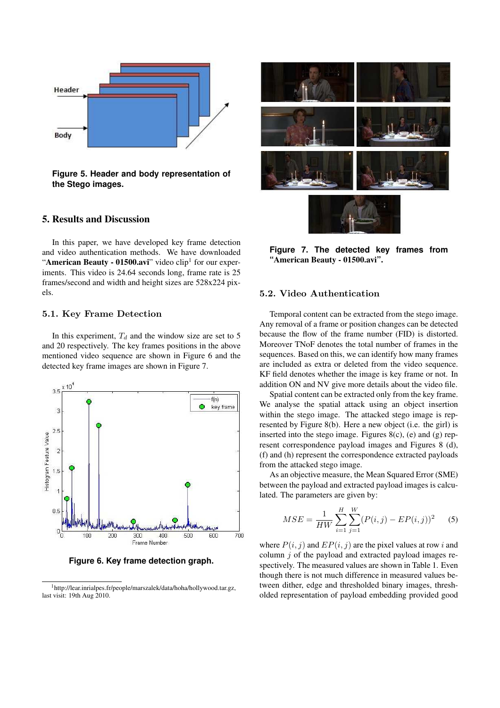

**Figure 5. Header and body representation of the Stego images.**

## 5. Results and Discussion

In this paper, we have developed key frame detection and video authentication methods. We have downloaded "American Beauty -  $01500$ .avi" video clip<sup>1</sup> for our experiments. This video is 24.64 seconds long, frame rate is 25 frames/second and width and height sizes are 528x224 pixels.

#### 5.1. Key Frame Detection

In this experiment,  $T_d$  and the window size are set to 5 and 20 respectively. The key frames positions in the above mentioned video sequence are shown in Figure 6 and the detected key frame images are shown in Figure 7.



**Figure 6. Key frame detection graph.**



**Figure 7. The detected key frames from "**American Beauty - 01500.avi**".**

### 5.2. Video Authentication

Temporal content can be extracted from the stego image. Any removal of a frame or position changes can be detected because the flow of the frame number (FID) is distorted. Moreover TNoF denotes the total number of frames in the sequences. Based on this, we can identify how many frames are included as extra or deleted from the video sequence. KF field denotes whether the image is key frame or not. In addition ON and NV give more details about the video file.

Spatial content can be extracted only from the key frame. We analyse the spatial attack using an object insertion within the stego image. The attacked stego image is represented by Figure 8(b). Here a new object (i.e. the girl) is inserted into the stego image. Figures 8(c), (e) and (g) represent correspondence payload images and Figures 8 (d), (f) and (h) represent the correspondence extracted payloads from the attacked stego image.

As an objective measure, the Mean Squared Error (SME) between the payload and extracted payload images is calculated. The parameters are given by:

$$
MSE = \frac{1}{HW} \sum_{i=1}^{H} \sum_{j=1}^{W} (P(i,j) - EP(i,j))^2
$$
 (5)

where  $P(i, j)$  and  $EP(i, j)$  are the pixel values at row i and column  $j$  of the payload and extracted payload images respectively. The measured values are shown in Table 1. Even though there is not much difference in measured values between dither, edge and thresholded binary images, thresholded representation of payload embedding provided good

<sup>1</sup>http://lear.inrialpes.fr/people/marszalek/data/hoha/hollywood.tar.gz, last visit: 19th Aug 2010.